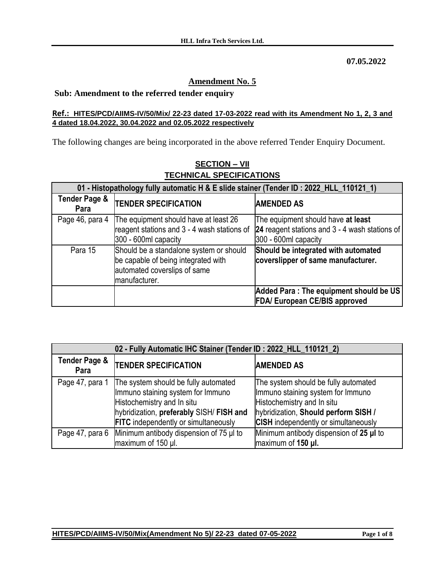**07.05.2022**

## **Amendment No. 5**

## **Sub: Amendment to the referred tender enquiry**

## **Ref.: HITES/PCD/AIIMS-IV/50/Mix/ 22-23 dated 17-03-2022 read with its Amendment No 1, 2, 3 and 4 dated 18.04.2022, 30.04.2022 and 02.05.2022 respectively**

The following changes are being incorporated in the above referred Tender Enquiry Document.

| 01 - Histopathology fully automatic H & E slide stainer (Tender ID: 2022_HLL_110121_1) |                                                                                                                                 |                                                                                |
|----------------------------------------------------------------------------------------|---------------------------------------------------------------------------------------------------------------------------------|--------------------------------------------------------------------------------|
| Tender Page &<br>Para                                                                  | <b>TENDER SPECIFICATION</b>                                                                                                     | <b>AMENDED AS</b>                                                              |
| Page 46, para 4                                                                        | The equipment should have at least 26                                                                                           | The equipment should have at least                                             |
|                                                                                        | reagent stations and 3 - 4 wash stations of                                                                                     | 24 reagent stations and 3 - 4 wash stations of                                 |
|                                                                                        | 300 - 600ml capacity                                                                                                            | 300 - 600ml capacity                                                           |
| Para 15                                                                                | Should be a standalone system or should<br>be capable of being integrated with<br>automated coverslips of same<br>manufacturer. | Should be integrated with automated<br>coverslipper of same manufacturer.      |
|                                                                                        |                                                                                                                                 | Added Para: The equipment should be US<br><b>FDA/ European CE/BIS approved</b> |

## **SECTION – VII TECHNICAL SPECIFICATIONS**

| 02 - Fully Automatic IHC Stainer (Tender ID: 2022_HLL_110121_2) |                                                                                                                                                                                                    |                                                                                                                                                                                                |
|-----------------------------------------------------------------|----------------------------------------------------------------------------------------------------------------------------------------------------------------------------------------------------|------------------------------------------------------------------------------------------------------------------------------------------------------------------------------------------------|
| <b>Tender Page &amp;</b><br>Para                                | <b>TENDER SPECIFICATION</b>                                                                                                                                                                        | <b>AMENDED AS</b>                                                                                                                                                                              |
| Page 47, para 1                                                 | The system should be fully automated<br>Immuno staining system for Immuno<br>Histochemistry and In situ<br>hybridization, preferably SISH/ FISH and<br><b>FITC</b> independently or simultaneously | The system should be fully automated<br>Immuno staining system for Immuno<br>Histochemistry and In situ<br>hybridization, Should perform SISH /<br><b>CISH</b> independently or simultaneously |
|                                                                 | Page 47, para 6 Minimum antibody dispension of 75 µl to<br>maximum of 150 µl.                                                                                                                      | Minimum antibody dispension of 25 µI to<br>maximum of 150 µl.                                                                                                                                  |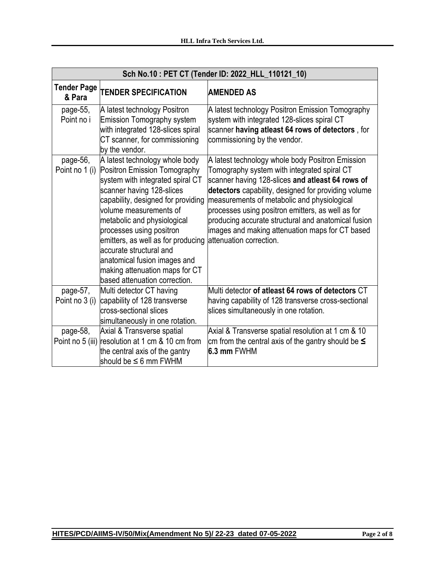| Sch No.10: PET CT (Tender ID: 2022_HLL_110121_10) |                                                                                                                                                                                                                                                                                                                                                                                                                                 |                                                                                                                                                                                                                                                                                                                                                                                                                                                      |
|---------------------------------------------------|---------------------------------------------------------------------------------------------------------------------------------------------------------------------------------------------------------------------------------------------------------------------------------------------------------------------------------------------------------------------------------------------------------------------------------|------------------------------------------------------------------------------------------------------------------------------------------------------------------------------------------------------------------------------------------------------------------------------------------------------------------------------------------------------------------------------------------------------------------------------------------------------|
| <b>Tender Page</b><br>& Para                      | <b>TENDER SPECIFICATION</b>                                                                                                                                                                                                                                                                                                                                                                                                     | <b>AMENDED AS</b>                                                                                                                                                                                                                                                                                                                                                                                                                                    |
| page-55,<br>Point no i                            | A latest technology Positron<br><b>Emission Tomography system</b><br>with integrated 128-slices spiral<br>CT scanner, for commissioning<br>by the vendor.                                                                                                                                                                                                                                                                       | A latest technology Positron Emission Tomography<br>system with integrated 128-slices spiral CT<br>scanner having atleast 64 rows of detectors, for<br>commissioning by the vendor.                                                                                                                                                                                                                                                                  |
| page-56,<br>Point no 1 (i)                        | A latest technology whole body<br>Positron Emission Tomography<br>system with integrated spiral CT<br>scanner having 128-slices<br>capability, designed for providing<br>volume measurements of<br>metabolic and physiological<br>processes using positron<br>emitters, as well as for producing<br>laccurate structural and<br>anatomical fusion images and<br>making attenuation maps for CT<br>based attenuation correction. | A latest technology whole body Positron Emission<br>Tomography system with integrated spiral CT<br>scanner having 128-slices and atleast 64 rows of<br>detectors capability, designed for providing volume<br>measurements of metabolic and physiological<br>processes using positron emitters, as well as for<br>producing accurate structural and anatomical fusion<br>images and making attenuation maps for CT based<br>lattenuation correction. |
| page-57,<br>Point no 3 (i)                        | Multi detector CT having<br>capability of 128 transverse<br>cross-sectional slices<br>simultaneously in one rotation.                                                                                                                                                                                                                                                                                                           | Multi detector of atleast 64 rows of detectors CT<br>having capability of 128 transverse cross-sectional<br>slices simultaneously in one rotation.                                                                                                                                                                                                                                                                                                   |
| page-58,                                          | Axial & Transverse spatial<br>Point no 5 (iii) resolution at 1 cm & 10 cm from<br>the central axis of the gantry<br>should be $\leq 6$ mm FWHM                                                                                                                                                                                                                                                                                  | Axial & Transverse spatial resolution at 1 cm & 10<br>cm from the central axis of the gantry should be $\leq$<br>6.3 mm FWHM                                                                                                                                                                                                                                                                                                                         |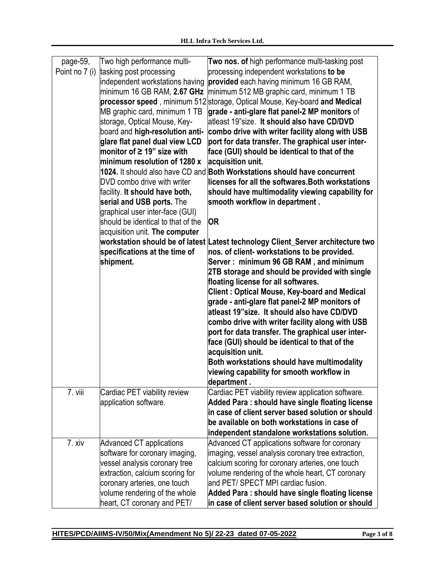| page-59,       | Two high performance multi-         | Two nos. of high performance multi-tasking post                                  |
|----------------|-------------------------------------|----------------------------------------------------------------------------------|
| Point no 7 (i) | tasking post processing             | processing independent workstations to be                                        |
|                | independent workstations having     | provided each having minimum 16 GB RAM,                                          |
|                | minimum 16 GB RAM, 2.67 GHz         | minimum 512 MB graphic card, minimum 1 TB                                        |
|                |                                     | processor speed, minimum 512 storage, Optical Mouse, Key-board and Medical       |
|                | MB graphic card, minimum 1 TB       | grade - anti-glare flat panel-2 MP monitors of                                   |
|                | storage, Optical Mouse, Key-        | latleast 19"size. It should also have CD/DVD                                     |
|                | board and high-resolution anti-     | combo drive with writer facility along with USB                                  |
|                | glare flat panel dual view LCD      | port for data transfer. The graphical user inter-                                |
|                | monitor of ≥ 19" size with          | face (GUI) should be identical to that of the                                    |
|                | minimum resolution of 1280 $\times$ | acquisition unit.                                                                |
|                |                                     | 1024. It should also have CD and <b>Both Workstations should have concurrent</b> |
|                | DVD combo drive with writer         | licenses for all the softwares. Both workstations                                |
|                | facility. It should have both,      | should have multimodality viewing capability for                                 |
|                | serial and USB ports. The           | smooth workflow in department.                                                   |
|                | graphical user inter-face (GUI)     |                                                                                  |
|                | should be identical to that of the  | <b>OR</b>                                                                        |
|                | acquisition unit. The computer      |                                                                                  |
|                |                                     | workstation should be of latest Latest technology Client_Server architecture two |
|                | specifications at the time of       | nos. of client- workstations to be provided.                                     |
|                | shipment.                           | Server: minimum 96 GB RAM, and minimum                                           |
|                |                                     | 2TB storage and should be provided with single                                   |
|                |                                     | floating license for all softwares.                                              |
|                |                                     | <b>Client: Optical Mouse, Key-board and Medical</b>                              |
|                |                                     | grade - anti-glare flat panel-2 MP monitors of                                   |
|                |                                     | atleast 19"size. It should also have CD/DVD                                      |
|                |                                     | combo drive with writer facility along with USB                                  |
|                |                                     | port for data transfer. The graphical user inter-                                |
|                |                                     | face (GUI) should be identical to that of the                                    |
|                |                                     | acquisition unit.                                                                |
|                |                                     | Both workstations should have multimodality                                      |
|                |                                     | viewing capability for smooth workflow in                                        |
|                |                                     | department.                                                                      |
| 7. viii        | Cardiac PET viability review        | Cardiac PET viability review application software.                               |
|                | application software.               | Added Para: should have single floating license                                  |
|                |                                     | in case of client server based solution or should                                |
|                |                                     | be available on both workstations in case of                                     |
|                |                                     | independent standalone workstations solution.                                    |
| 7. xiv         | Advanced CT applications            | Advanced CT applications software for coronary                                   |
|                | software for coronary imaging,      | imaging, vessel analysis coronary tree extraction,                               |
|                | vessel analysis coronary tree       | calcium scoring for coronary arteries, one touch                                 |
|                | extraction, calcium scoring for     | volume rendering of the whole heart, CT coronary                                 |
|                | coronary arteries, one touch        | and PET/ SPECT MPI cardiac fusion.                                               |
|                | volume rendering of the whole       | Added Para: should have single floating license                                  |
|                | heart, CT coronary and PET/         | in case of client server based solution or should                                |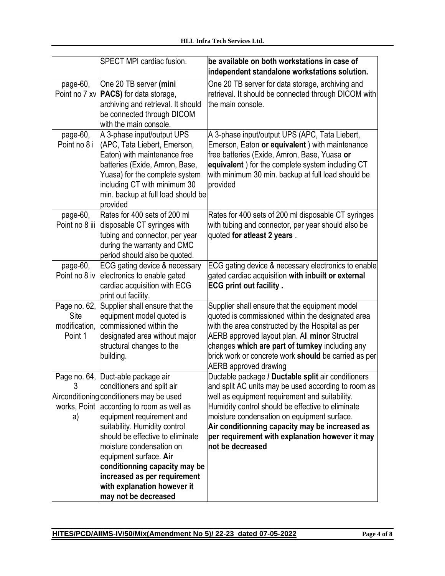|                                                  | SPECT MPI cardiac fusion.                                                                                                                                                                                                                                                                                                                                                                                                                 | be available on both workstations in case of<br>independent standalone workstations solution.                                                                                                                                                                                                                                                                                            |
|--------------------------------------------------|-------------------------------------------------------------------------------------------------------------------------------------------------------------------------------------------------------------------------------------------------------------------------------------------------------------------------------------------------------------------------------------------------------------------------------------------|------------------------------------------------------------------------------------------------------------------------------------------------------------------------------------------------------------------------------------------------------------------------------------------------------------------------------------------------------------------------------------------|
| page-60,<br>Point no 7 xv                        | One 20 TB server (mini<br><b>PACS</b> ) for data storage,<br>archiving and retrieval. It should<br>be connected through DICOM<br>with the main console.                                                                                                                                                                                                                                                                                   | One 20 TB server for data storage, archiving and<br>retrieval. It should be connected through DICOM with<br>the main console.                                                                                                                                                                                                                                                            |
| page-60,<br>Point no 8 i                         | A 3-phase input/output UPS<br>(APC, Tata Liebert, Emerson,<br>Eaton) with maintenance free<br>batteries (Exide, Amron, Base,<br>Yuasa) for the complete system<br>including CT with minimum 30<br>min. backup at full load should be<br>provided                                                                                                                                                                                          | A 3-phase input/output UPS (APC, Tata Liebert,<br>Emerson, Eaton or equivalent) with maintenance<br>free batteries (Exide, Amron, Base, Yuasa or<br>equivalent) for the complete system including CT<br>with minimum 30 min. backup at full load should be<br>provided                                                                                                                   |
| page-60,<br>Point no 8 iii                       | Rates for 400 sets of 200 ml<br>disposable CT syringes with<br>tubing and connector, per year<br>during the warranty and CMC<br>period should also be quoted.                                                                                                                                                                                                                                                                             | Rates for 400 sets of 200 ml disposable CT syringes<br>with tubing and connector, per year should also be<br>quoted for atleast 2 years.                                                                                                                                                                                                                                                 |
| page-60,<br>Point no 8 iv                        | ECG gating device & necessary<br>electronics to enable gated<br>cardiac acquisition with ECG<br>print out facility.                                                                                                                                                                                                                                                                                                                       | ECG gating device & necessary electronics to enable<br>gated cardiac acquisition with inbuilt or external<br><b>ECG print out facility.</b>                                                                                                                                                                                                                                              |
| Page no. 62,<br>Site<br>modification,<br>Point 1 | Supplier shall ensure that the<br>equipment model quoted is<br>commissioned within the<br>designated area without major<br>structural changes to the<br>building.                                                                                                                                                                                                                                                                         | Supplier shall ensure that the equipment model<br>quoted is commissioned within the designated area<br>with the area constructed by the Hospital as per<br>AERB approved layout plan. All minor Structral<br>changes which are part of turnkey including any<br>brick work or concrete work should be carried as per<br><b>AERB</b> approved drawing                                     |
| 3<br>a)                                          | Page no. 64, Duct-able package air<br>conditioners and split air<br>Airconditioning conditioners may be used<br>works, Point according to room as well as<br>equipment requirement and<br>suitability. Humidity control<br>should be effective to eliminate<br>moisture condensation on<br>equipment surface. Air<br>conditionning capacity may be<br>increased as per requirement<br>with explanation however it<br>may not be decreased | Ductable package / Ductable split air conditioners<br>and split AC units may be used according to room as<br>well as equipment requirement and suitability.<br>Humidity control should be effective to eliminate<br>moisture condensation on equipment surface.<br>Air conditionning capacity may be increased as<br>per requirement with explanation however it may<br>not be decreased |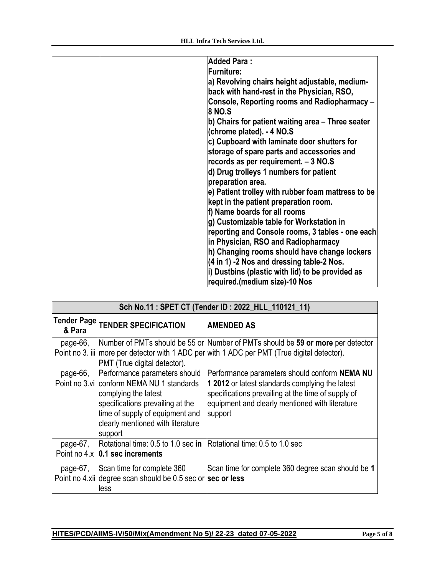| <b>Added Para:</b>                                   |
|------------------------------------------------------|
| <b>Furniture:</b>                                    |
| a) Revolving chairs height adjustable, medium-       |
| back with hand-rest in the Physician, RSO,           |
| Console, Reporting rooms and Radiopharmacy -         |
| <b>8 NO.S</b>                                        |
| b) Chairs for patient waiting area – Three seater    |
| (chrome plated). - 4 NO.S                            |
| c) Cupboard with laminate door shutters for          |
| storage of spare parts and accessories and           |
| records as per requirement. - 3 NO.S                 |
| d) Drug trolleys 1 numbers for patient               |
| preparation area.                                    |
| e) Patient trolley with rubber foam mattress to be   |
| kept in the patient preparation room.                |
| f) Name boards for all rooms                         |
| g) Customizable table for Workstation in             |
| reporting and Console rooms, 3 tables - one each     |
| in Physician, RSO and Radiopharmacy                  |
| h) Changing rooms should have change lockers         |
| $(4 \text{ in } 1)$ -2 Nos and dressing table-2 Nos. |
| i) Dustbins (plastic with lid) to be provided as     |
|                                                      |
| required.(medium size)-10 Nos                        |

| Sch No.11: SPET CT (Tender ID: 2022_HLL_110121_11) |                                                                                                                                                                                                                           |                                                                                                                                                                                                                      |
|----------------------------------------------------|---------------------------------------------------------------------------------------------------------------------------------------------------------------------------------------------------------------------------|----------------------------------------------------------------------------------------------------------------------------------------------------------------------------------------------------------------------|
| & Para                                             | Tender Page TENDER SPECIFICATION                                                                                                                                                                                          | <b>AMENDED AS</b>                                                                                                                                                                                                    |
| page-66,                                           | PMT (True digital detector).                                                                                                                                                                                              | Number of PMTs should be 55 or Number of PMTs should be 59 or more per detector<br>Point no 3. iii more per detector with 1 ADC per with 1 ADC per PMT (True digital detector).                                      |
| page-66,                                           | Performance parameters should<br>Point no 3.vi conform NEMA NU 1 standards<br>complying the latest<br>specifications prevailing at the<br>time of supply of equipment and<br>clearly mentioned with literature<br>support | Performance parameters should conform NEMA NU<br>1 2012 or latest standards complying the latest<br>specifications prevailing at the time of supply of<br>equipment and clearly mentioned with literature<br>support |
| page-67,                                           | Rotational time: 0.5 to 1.0 sec in Rotational time: 0.5 to 1.0 sec<br>Point no $4 \times 0.1$ sec increments                                                                                                              |                                                                                                                                                                                                                      |
| page-67,                                           | Scan time for complete 360<br>Point no 4.xii degree scan should be 0.5 sec or sec or less<br>lless                                                                                                                        | Scan time for complete 360 degree scan should be 1                                                                                                                                                                   |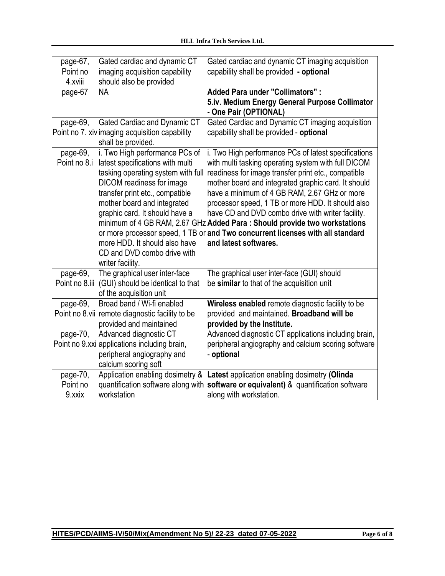| page-67,<br>Point no | Gated cardiac and dynamic CT<br>imaging acquisition capability       | Gated cardiac and dynamic CT imaging acquisition<br>capability shall be provided - optional |
|----------------------|----------------------------------------------------------------------|---------------------------------------------------------------------------------------------|
| 4.xviii              | should also be provided                                              |                                                                                             |
| page-67              | <b>NA</b>                                                            | <b>Added Para under "Collimators":</b>                                                      |
|                      |                                                                      | 5.iv. Medium Energy General Purpose Collimator<br>- One Pair (OPTIONAL)                     |
| page-69,             | <b>Gated Cardiac and Dynamic CT</b>                                  | Gated Cardiac and Dynamic CT imaging acquisition                                            |
|                      | Point no 7. xiv imaging acquisition capability<br>shall be provided. | capability shall be provided - optional                                                     |
| page-69,             | i. Two High performance PCs of                                       | i. Two High performance PCs of latest specifications                                        |
| Point no 8.i         | latest specifications with multi                                     | with multi tasking operating system with full DICOM                                         |
|                      | tasking operating system with full                                   | readiness for image transfer print etc., compatible                                         |
|                      | <b>DICOM</b> readiness for image                                     | mother board and integrated graphic card. It should                                         |
|                      | transfer print etc., compatible                                      | have a minimum of 4 GB RAM, 2.67 GHz or more                                                |
|                      | mother board and integrated                                          | processor speed, 1 TB or more HDD. It should also                                           |
|                      | graphic card. It should have a                                       | have CD and DVD combo drive with writer facility.                                           |
|                      |                                                                      | minimum of 4 GB RAM, 2.67 GHz Added Para: Should provide two workstations                   |
|                      |                                                                      |                                                                                             |
|                      |                                                                      | or more processor speed, 1 TB or and Two concurrent licenses with all standard              |
|                      | lmore HDD. It should also have                                       | and latest softwares.                                                                       |
|                      | CD and DVD combo drive with                                          |                                                                                             |
|                      | writer facility.                                                     |                                                                                             |
| page-69,             | The graphical user inter-face                                        | The graphical user inter-face (GUI) should                                                  |
| Point no 8.iii       | (GUI) should be identical to that                                    | be similar to that of the acquisition unit                                                  |
|                      | of the acquisition unit                                              |                                                                                             |
| page-69,             | Broad band / Wi-fi enabled                                           | Wireless enabled remote diagnostic facility to be                                           |
|                      | Point no 8 vii remote diagnostic facility to be                      | provided and maintained. Broadband will be                                                  |
|                      | provided and maintained                                              | provided by the Institute.                                                                  |
| page-70,             | Advanced diagnostic CT                                               | Advanced diagnostic CT applications including brain,                                        |
|                      | Point no 9 xxi applications including brain,                         | peripheral angiography and calcium scoring software                                         |
|                      | peripheral angiography and                                           | - optional                                                                                  |
|                      | calcium scoring soft                                                 |                                                                                             |
| page-70,             | Application enabling dosimetry &                                     | Latest application enabling dosimetry (Olinda                                               |
| Point no<br>9.xxix   | quantification software along with<br>workstation                    | software or equivalent) & quantification software<br>along with workstation.                |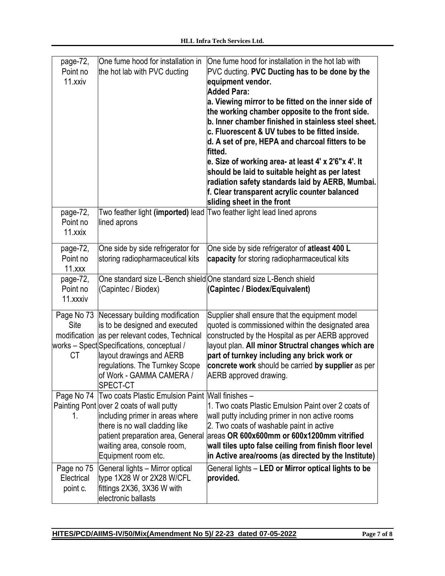| page-72,<br>Point no<br>11.xxiv                 | One fume hood for installation in<br>the hot lab with PVC ducting                                                                                                                                                                                                           | One fume hood for installation in the hot lab with<br>PVC ducting. PVC Ducting has to be done by the<br>equipment vendor.<br><b>Added Para:</b><br>a. Viewing mirror to be fitted on the inner side of<br>the working chamber opposite to the front side.<br>b. Inner chamber finished in stainless steel sheet.<br>c. Fluorescent & UV tubes to be fitted inside.<br>d. A set of pre, HEPA and charcoal fitters to be<br>fitted.<br>e. Size of working area- at least 4' x 2'6"x 4'. It<br>should be laid to suitable height as per latest<br>radiation safety standards laid by AERB, Mumbai.<br>f. Clear transparent acrylic counter balanced<br>sliding sheet in the front |
|-------------------------------------------------|-----------------------------------------------------------------------------------------------------------------------------------------------------------------------------------------------------------------------------------------------------------------------------|--------------------------------------------------------------------------------------------------------------------------------------------------------------------------------------------------------------------------------------------------------------------------------------------------------------------------------------------------------------------------------------------------------------------------------------------------------------------------------------------------------------------------------------------------------------------------------------------------------------------------------------------------------------------------------|
| page-72,<br>Point no<br>11.xxix                 | lined aprons                                                                                                                                                                                                                                                                | Two feather light (imported) lead Two feather light lead lined aprons                                                                                                                                                                                                                                                                                                                                                                                                                                                                                                                                                                                                          |
| page-72,<br>Point no<br>11.xxx                  | One side by side refrigerator for<br>storing radiopharmaceutical kits                                                                                                                                                                                                       | One side by side refrigerator of atleast 400 L<br>capacity for storing radiopharmaceutical kits                                                                                                                                                                                                                                                                                                                                                                                                                                                                                                                                                                                |
| page-72,<br>Point no<br>11.xxxiv                | (Capintec / Biodex)                                                                                                                                                                                                                                                         | One standard size L-Bench shield One standard size L-Bench shield<br>(Capintec / Biodex/Equivalent)                                                                                                                                                                                                                                                                                                                                                                                                                                                                                                                                                                            |
| Page No 73<br>Site<br>modification<br><b>CT</b> | Necessary building modification<br>is to be designed and executed<br>as per relevant codes, Technical<br> works – Spect Specifications, conceptual /<br>layout drawings and AERB<br>regulations. The Turnkey Scope<br>of Work - GAMMA CAMERA /<br>SPECT-CT                  | Supplier shall ensure that the equipment model<br>quoted is commissioned within the designated area<br>constructed by the Hospital as per AERB approved<br>layout plan. All minor Structral changes which are<br>part of turnkey including any brick work or<br>concrete work should be carried by supplier as per<br>AERB approved drawing.                                                                                                                                                                                                                                                                                                                                   |
| 1.                                              | Page No 74   Two coats Plastic Emulsion Paint   Wall finishes -<br>Painting Pont over 2 coats of wall putty<br>including primer in areas where<br>there is no wall cladding like<br>patient preparation area, General<br>waiting area, console room,<br>Equipment room etc. | 1. Two coats Plastic Emulsion Paint over 2 coats of<br>wall putty including primer in non active rooms<br>2. Two coats of washable paint in active<br>lareas OR 600x600mm or 600x1200mm vitrified<br>wall tiles upto false ceiling from finish floor level<br>in Active area/rooms (as directed by the Institute)                                                                                                                                                                                                                                                                                                                                                              |
| Page no 75<br>Electrical<br>point c.            | General lights - Mirror optical<br>type 1X28 W or 2X28 W/CFL<br>fittings 2X36, 3X36 W with<br>electronic ballasts                                                                                                                                                           | General lights - LED or Mirror optical lights to be<br>provided.                                                                                                                                                                                                                                                                                                                                                                                                                                                                                                                                                                                                               |